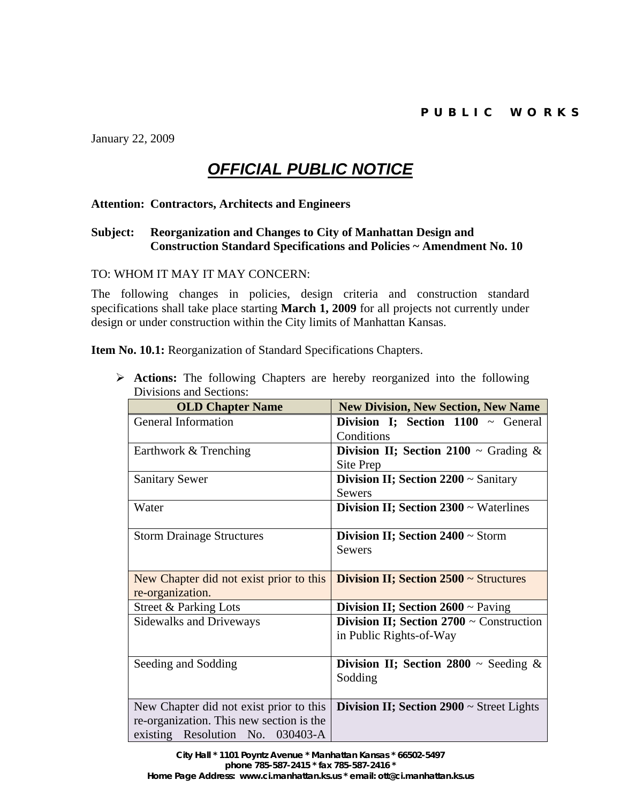January 22, 2009

## *OFFICIAL PUBLIC NOTICE*

## **Attention: Contractors, Architects and Engineers**

## **Subject: Reorganization and Changes to City of Manhattan Design and Construction Standard Specifications and Policies ~ Amendment No. 10**

TO: WHOM IT MAY IT MAY CONCERN:

The following changes in policies, design criteria and construction standard specifications shall take place starting **March 1, 2009** for all projects not currently under design or under construction within the City limits of Manhattan Kansas.

**Item No. 10.1:** Reorganization of Standard Specifications Chapters.

¾ **Actions:** The following Chapters are hereby reorganized into the following Divisions and Sections:

| <b>OLD Chapter Name</b>                  | <b>New Division, New Section, New Name</b>     |
|------------------------------------------|------------------------------------------------|
| <b>General Information</b>               | Division I; Section 1100 ~ General             |
|                                          | Conditions                                     |
| Earthwork & Trenching                    | Division II; Section 2100 $\sim$ Grading &     |
|                                          | Site Prep                                      |
| <b>Sanitary Sewer</b>                    | Division II; Section $2200 \sim$ Sanitary      |
|                                          | <b>Sewers</b>                                  |
| Water                                    | Division II; Section $2300 \sim$ Waterlines    |
|                                          |                                                |
| <b>Storm Drainage Structures</b>         | Division II; Section 2400 ~ Storm              |
|                                          | <b>Sewers</b>                                  |
|                                          |                                                |
| New Chapter did not exist prior to this  | Division II; Section 2500 ~ Structures         |
| re-organization.                         |                                                |
| Street & Parking Lots                    | <b>Division II; Section 2600</b> $\sim$ Paving |
| <b>Sidewalks and Driveways</b>           | Division II; Section $2700 \sim$ Construction  |
|                                          | in Public Rights-of-Way                        |
|                                          |                                                |
| Seeding and Sodding                      | Division II; Section 2800 $\sim$ Seeding &     |
|                                          | Sodding                                        |
|                                          |                                                |
| New Chapter did not exist prior to this  | Division II; Section $2900 \sim$ Street Lights |
| re-organization. This new section is the |                                                |
| existing Resolution No. 030403-A         |                                                |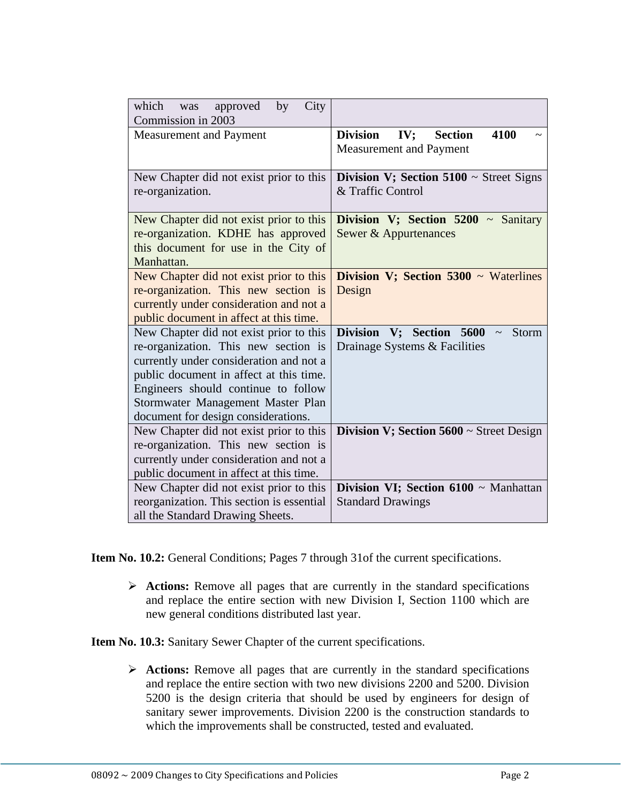| City<br>by<br>which<br>approved<br>was<br>Commission in 2003                                                                                                                                                                                                                             |                                                                                  |
|------------------------------------------------------------------------------------------------------------------------------------------------------------------------------------------------------------------------------------------------------------------------------------------|----------------------------------------------------------------------------------|
| <b>Measurement and Payment</b>                                                                                                                                                                                                                                                           | <b>IV</b> ; Section<br>4100<br><b>Division</b><br><b>Measurement and Payment</b> |
| New Chapter did not exist prior to this<br>re-organization.                                                                                                                                                                                                                              | Division V; Section $5100 \sim$ Street Signs<br>& Traffic Control                |
| New Chapter did not exist prior to this<br>re-organization. KDHE has approved<br>this document for use in the City of<br>Manhattan.                                                                                                                                                      | Division V; Section $5200 \sim$ Sanitary<br>Sewer & Appurtenances                |
| New Chapter did not exist prior to this<br>re-organization. This new section is<br>currently under consideration and not a<br>public document in affect at this time.                                                                                                                    | Division V; Section $5300 \sim$ Waterlines<br>Design                             |
| New Chapter did not exist prior to this<br>re-organization. This new section is<br>currently under consideration and not a<br>public document in affect at this time.<br>Engineers should continue to follow<br>Stormwater Management Master Plan<br>document for design considerations. | Division V; Section 5600<br>Storm<br>Drainage Systems & Facilities               |
| New Chapter did not exist prior to this<br>re-organization. This new section is<br>currently under consideration and not a<br>public document in affect at this time.                                                                                                                    | Division V; Section $5600 \sim$ Street Design                                    |
| New Chapter did not exist prior to this<br>reorganization. This section is essential<br>all the Standard Drawing Sheets.                                                                                                                                                                 | Division VI; Section 6100 ~ Manhattan<br><b>Standard Drawings</b>                |

**Item No. 10.2:** General Conditions; Pages 7 through 31of the current specifications.

¾ **Actions:** Remove all pages that are currently in the standard specifications and replace the entire section with new Division I, Section 1100 which are new general conditions distributed last year.

**Item No. 10.3:** Sanitary Sewer Chapter of the current specifications.

¾ **Actions:** Remove all pages that are currently in the standard specifications and replace the entire section with two new divisions 2200 and 5200. Division 5200 is the design criteria that should be used by engineers for design of sanitary sewer improvements. Division 2200 is the construction standards to which the improvements shall be constructed, tested and evaluated.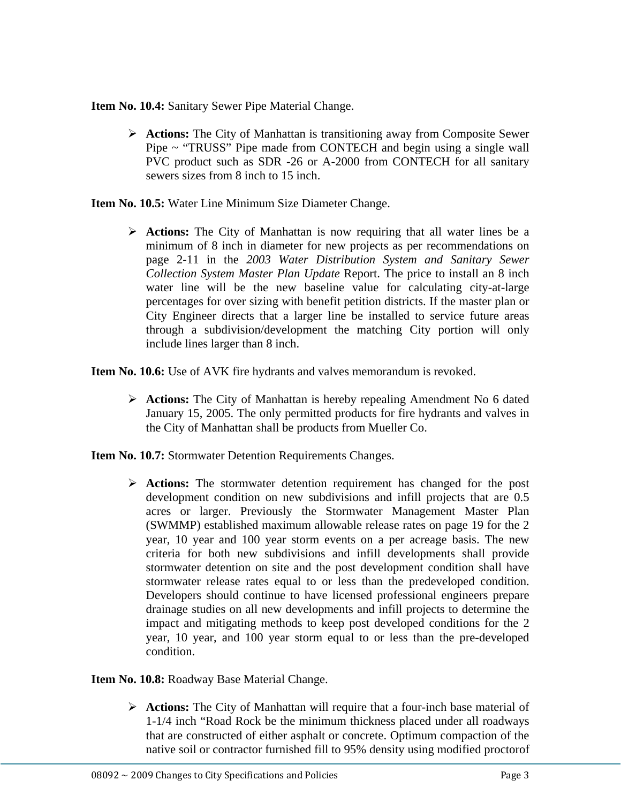**Item No. 10.4:** Sanitary Sewer Pipe Material Change.

¾ **Actions:** The City of Manhattan is transitioning away from Composite Sewer Pipe ~ "TRUSS" Pipe made from CONTECH and begin using a single wall PVC product such as SDR -26 or A-2000 from CONTECH for all sanitary sewers sizes from 8 inch to 15 inch.

**Item No. 10.5:** Water Line Minimum Size Diameter Change.

¾ **Actions:** The City of Manhattan is now requiring that all water lines be a minimum of 8 inch in diameter for new projects as per recommendations on page 2-11 in the *2003 Water Distribution System and Sanitary Sewer Collection System Master Plan Update* Report. The price to install an 8 inch water line will be the new baseline value for calculating city-at-large percentages for over sizing with benefit petition districts. If the master plan or City Engineer directs that a larger line be installed to service future areas through a subdivision/development the matching City portion will only include lines larger than 8 inch.

**Item No. 10.6:** Use of AVK fire hydrants and valves memorandum is revoked.

- ¾ **Actions:** The City of Manhattan is hereby repealing Amendment No 6 dated January 15, 2005. The only permitted products for fire hydrants and valves in the City of Manhattan shall be products from Mueller Co.
- **Item No. 10.7:** Stormwater Detention Requirements Changes.
	- ¾ **Actions:** The stormwater detention requirement has changed for the post development condition on new subdivisions and infill projects that are 0.5 acres or larger. Previously the Stormwater Management Master Plan (SWMMP) established maximum allowable release rates on page 19 for the 2 year, 10 year and 100 year storm events on a per acreage basis. The new criteria for both new subdivisions and infill developments shall provide stormwater detention on site and the post development condition shall have stormwater release rates equal to or less than the predeveloped condition. Developers should continue to have licensed professional engineers prepare drainage studies on all new developments and infill projects to determine the impact and mitigating methods to keep post developed conditions for the 2 year, 10 year, and 100 year storm equal to or less than the pre-developed condition.

**Item No. 10.8:** Roadway Base Material Change.

¾ **Actions:** The City of Manhattan will require that a four-inch base material of 1-1/4 inch "Road Rock be the minimum thickness placed under all roadways that are constructed of either asphalt or concrete. Optimum compaction of the native soil or contractor furnished fill to 95% density using modified proctorof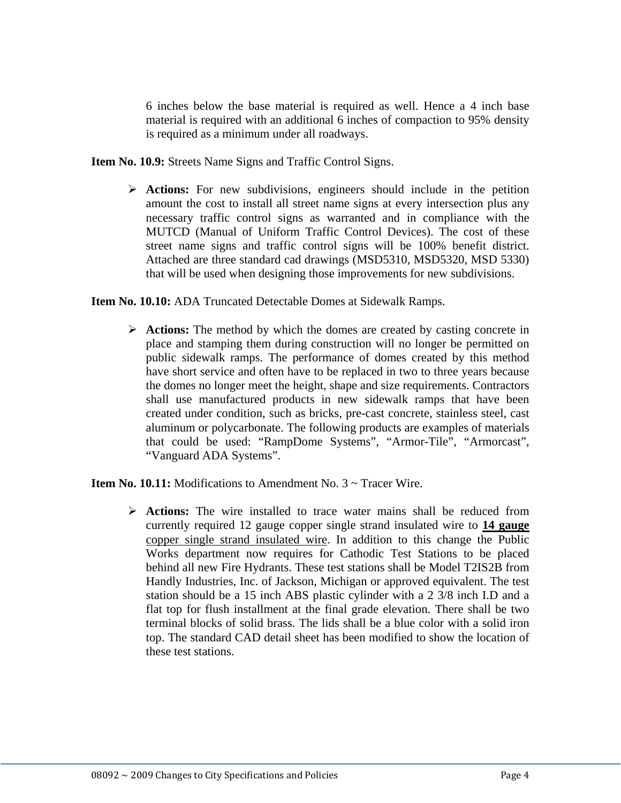6 inches below the base material is required as well. Hence a 4 inch base material is required with an additional 6 inches of compaction to 95% density is required as a minimum under all roadways.

**Item No. 10.9:** Streets Name Signs and Traffic Control Signs.

¾ **Actions:** For new subdivisions, engineers should include in the petition amount the cost to install all street name signs at every intersection plus any necessary traffic control signs as warranted and in compliance with the MUTCD (Manual of Uniform Traffic Control Devices). The cost of these street name signs and traffic control signs will be 100% benefit district. Attached are three standard cad drawings (MSD5310, MSD5320, MSD 5330) that will be used when designing those improvements for new subdivisions.

**Item No. 10.10:** ADA Truncated Detectable Domes at Sidewalk Ramps.

¾ **Actions:** The method by which the domes are created by casting concrete in place and stamping them during construction will no longer be permitted on public sidewalk ramps. The performance of domes created by this method have short service and often have to be replaced in two to three years because the domes no longer meet the height, shape and size requirements. Contractors shall use manufactured products in new sidewalk ramps that have been created under condition, such as bricks, pre-cast concrete, stainless steel, cast aluminum or polycarbonate. The following products are examples of materials that could be used: "RampDome Systems", "Armor-Tile", "Armorcast", "Vanguard ADA Systems".

**Item No. 10.11:** Modifications to Amendment No. 3 ~ Tracer Wire.

¾ **Actions:** The wire installed to trace water mains shall be reduced from currently required 12 gauge copper single strand insulated wire to **14 gauge** copper single strand insulated wire. In addition to this change the Public Works department now requires for Cathodic Test Stations to be placed behind all new Fire Hydrants. These test stations shall be Model T2IS2B from Handly Industries, Inc. of Jackson, Michigan or approved equivalent. The test station should be a 15 inch ABS plastic cylinder with a 2 3/8 inch I.D and a flat top for flush installment at the final grade elevation. There shall be two terminal blocks of solid brass. The lids shall be a blue color with a solid iron top. The standard CAD detail sheet has been modified to show the location of these test stations.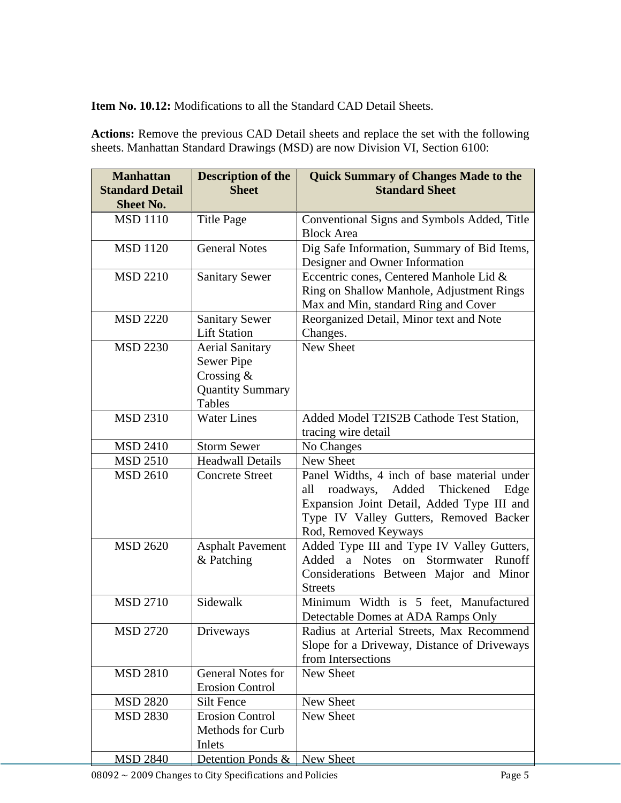**Item No. 10.12:** Modifications to all the Standard CAD Detail Sheets.

**Actions:** Remove the previous CAD Detail sheets and replace the set with the following sheets. Manhattan Standard Drawings (MSD) are now Division VI, Section 6100:

| <b>Manhattan</b><br><b>Standard Detail</b><br><b>Sheet No.</b> | <b>Description of the</b><br><b>Sheet</b> | <b>Quick Summary of Changes Made to the</b><br><b>Standard Sheet</b>            |
|----------------------------------------------------------------|-------------------------------------------|---------------------------------------------------------------------------------|
|                                                                |                                           |                                                                                 |
| <b>MSD 1110</b>                                                | <b>Title Page</b>                         | Conventional Signs and Symbols Added, Title<br><b>Block Area</b>                |
| <b>MSD 1120</b>                                                | <b>General Notes</b>                      | Dig Safe Information, Summary of Bid Items,                                     |
|                                                                |                                           | Designer and Owner Information                                                  |
| <b>MSD 2210</b>                                                | <b>Sanitary Sewer</b>                     | Eccentric cones, Centered Manhole Lid &                                         |
|                                                                |                                           | Ring on Shallow Manhole, Adjustment Rings                                       |
|                                                                |                                           | Max and Min, standard Ring and Cover                                            |
| <b>MSD 2220</b>                                                | <b>Sanitary Sewer</b>                     | Reorganized Detail, Minor text and Note                                         |
|                                                                | <b>Lift Station</b>                       | Changes.                                                                        |
| <b>MSD 2230</b>                                                | <b>Aerial Sanitary</b>                    | New Sheet                                                                       |
|                                                                | Sewer Pipe                                |                                                                                 |
|                                                                | Crossing $&$                              |                                                                                 |
|                                                                | <b>Quantity Summary</b>                   |                                                                                 |
|                                                                | <b>Tables</b>                             |                                                                                 |
| <b>MSD 2310</b>                                                | Water Lines                               | Added Model T2IS2B Cathode Test Station,                                        |
|                                                                |                                           | tracing wire detail                                                             |
| <b>MSD 2410</b>                                                | <b>Storm Sewer</b>                        | No Changes                                                                      |
| <b>MSD 2510</b>                                                | <b>Headwall Details</b>                   | New Sheet                                                                       |
| <b>MSD 2610</b>                                                | <b>Concrete Street</b>                    | Panel Widths, 4 inch of base material under                                     |
|                                                                |                                           | roadways, Added Thickened<br>all<br>Edge                                        |
|                                                                |                                           | Expansion Joint Detail, Added Type III and                                      |
|                                                                |                                           | Type IV Valley Gutters, Removed Backer                                          |
|                                                                |                                           | Rod, Removed Keyways                                                            |
| <b>MSD 2620</b>                                                | <b>Asphalt Pavement</b>                   | Added Type III and Type IV Valley Gutters,                                      |
|                                                                | & Patching                                | Added<br>a Notes<br>Stormwater Runoff<br>on                                     |
|                                                                |                                           | Considerations Between Major and Minor                                          |
|                                                                |                                           | <b>Streets</b>                                                                  |
| <b>MSD 2710</b>                                                | Sidewalk                                  | Minimum Width is 5 feet, Manufactured                                           |
| <b>MSD 2720</b>                                                |                                           | Detectable Domes at ADA Ramps Only<br>Radius at Arterial Streets, Max Recommend |
|                                                                | Driveways                                 | Slope for a Driveway, Distance of Driveways                                     |
|                                                                |                                           | from Intersections                                                              |
| <b>MSD 2810</b>                                                | <b>General Notes for</b>                  | New Sheet                                                                       |
|                                                                | <b>Erosion Control</b>                    |                                                                                 |
| <b>MSD 2820</b>                                                | Silt Fence                                | New Sheet                                                                       |
| <b>MSD 2830</b>                                                | <b>Erosion Control</b>                    | New Sheet                                                                       |
|                                                                | Methods for Curb                          |                                                                                 |
|                                                                | Inlets                                    |                                                                                 |
| <b>MSD 2840</b>                                                | Detention Ponds &                         | New Sheet                                                                       |